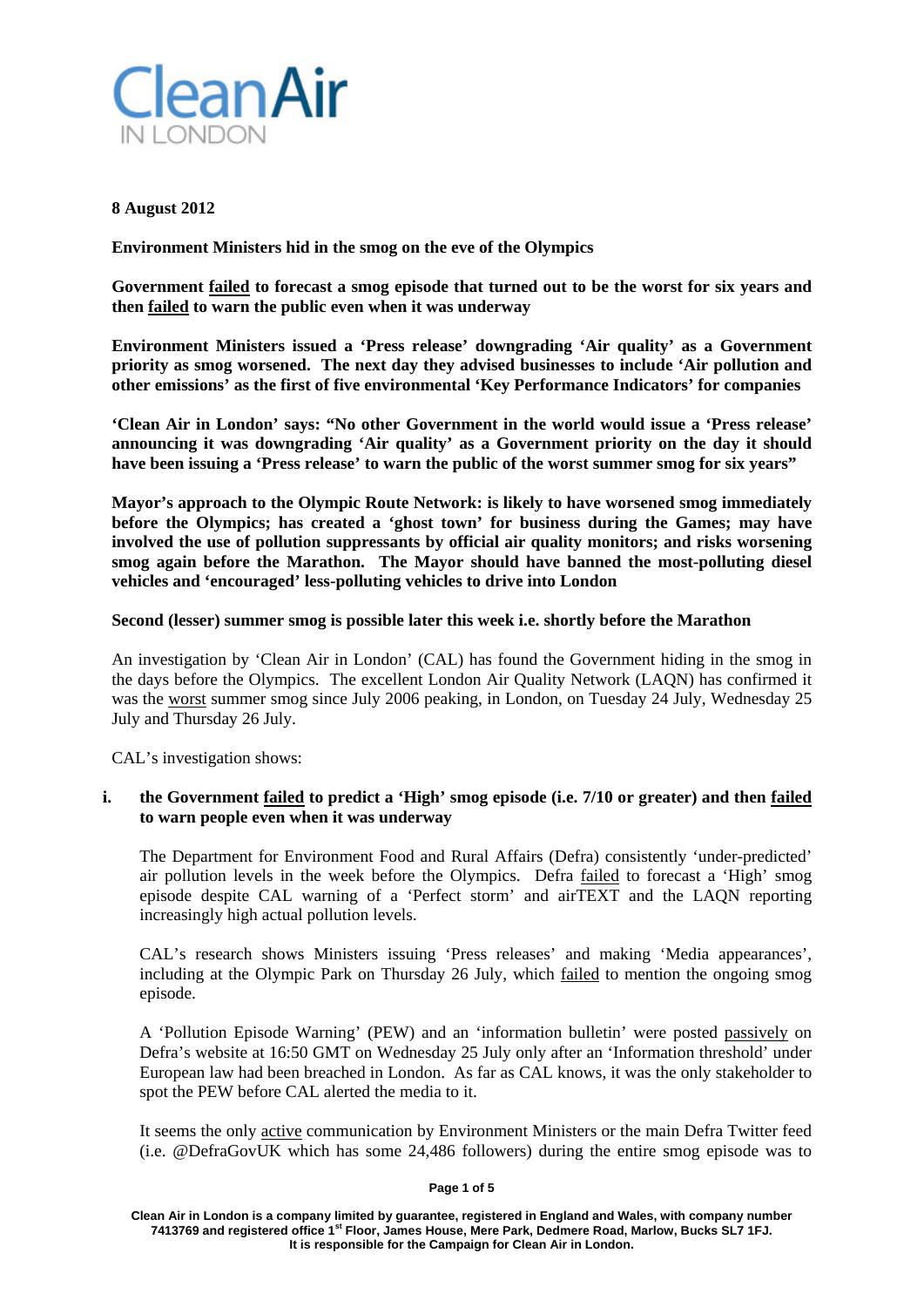

## **8 August 2012**

**Environment Ministers hid in the smog on the eve of the Olympics**

**Government failed to forecast a smog episode that turned out to be the worst for six years and then failed to warn the public even when it was underway**

**Environment Ministers issued a 'Press release' downgrading 'Air quality' as a Government priority as smog worsened. The next day they advised businesses to include 'Air pollution and other emissions' as the first of five environmental 'Key Performance Indicators' for companies**

**'Clean Air in London' says: "No other Government in the world would issue a 'Press release' announcing it was downgrading 'Air quality' as a Government priority on the day it should have been issuing a 'Press release' to warn the public of the worst summer smog for six years"**

**Mayor's approach to the Olympic Route Network: is likely to have worsened smog immediately before the Olympics; has created a 'ghost town' for business during the Games; may have involved the use of pollution suppressants by official air quality monitors; and risks worsening smog again before the Marathon. The Mayor should have banned the most-polluting diesel vehicles and 'encouraged' less-polluting vehicles to drive into London**

# **Second (lesser) summer smog is possible later this week i.e. shortly before the Marathon**

An investigation by 'Clean Air in London' (CAL) has found the Government hiding in the smog in the days before the Olympics. The excellent London Air Quality Network (LAQN) has confirmed it was the worst summer smog since July 2006 peaking, in London, on Tuesday 24 July, Wednesday 25 July and Thursday 26 July.

CAL's investigation shows:

# **i. the Government failed to predict a 'High' smog episode (i.e. 7/10 or greater) and then failed to warn people even when it was underway**

The Department for Environment Food and Rural Affairs (Defra) consistently 'under-predicted' air pollution levels in the week before the Olympics. Defra failed to forecast a 'High' smog episode despite CAL warning of a 'Perfect storm' and airTEXT and the LAQN reporting increasingly high actual pollution levels.

CAL's research shows Ministers issuing 'Press releases' and making 'Media appearances', including at the Olympic Park on Thursday 26 July, which failed to mention the ongoing smog episode.

A 'Pollution Episode Warning' (PEW) and an 'information bulletin' were posted passively on Defra's website at 16:50 GMT on Wednesday 25 July only after an 'Information threshold' under European law had been breached in London. As far as CAL knows, it was the only stakeholder to spot the PEW before CAL alerted the media to it.

It seems the only active communication by Environment Ministers or the main Defra Twitter feed (i.e. @DefraGovUK which has some 24,486 followers) during the entire smog episode was to

#### **Page 1 of 5**

**Clean Air in London is a company limited by guarantee, registered in England and Wales, with company number 7413769 and registered office 1st Floor, James House, Mere Park, Dedmere Road, Marlow, Bucks SL7 1FJ. It is responsible for the Campaign for Clean Air in London.**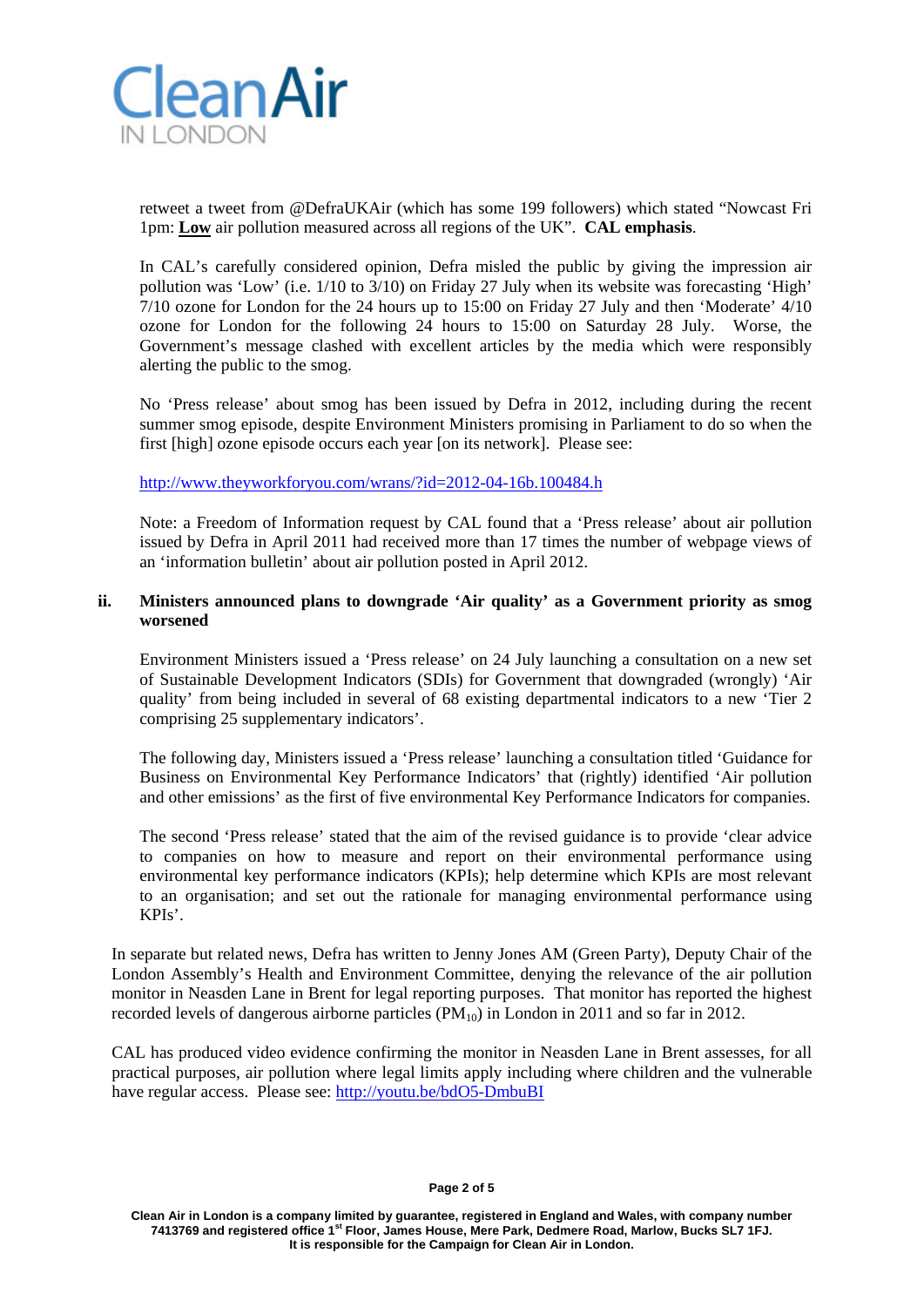

retweet a tweet from @DefraUKAir (which has some 199 followers) which stated "Nowcast Fri 1pm: **Low** air pollution measured across all regions of the UK". **CAL emphasis**.

In CAL's carefully considered opinion, Defra misled the public by giving the impression air pollution was 'Low' (i.e. 1/10 to 3/10) on Friday 27 July when its website was forecasting 'High' 7/10 ozone for London for the 24 hours up to 15:00 on Friday 27 July and then 'Moderate' 4/10 ozone for London for the following 24 hours to 15:00 on Saturday 28 July. Worse, the Government's message clashed with excellent articles by the media which were responsibly alerting the public to the smog.

No 'Press release' about smog has been issued by Defra in 2012, including during the recent summer smog episode, despite Environment Ministers promising in Parliament to do so when the first [high] ozone episode occurs each year [on its network]. Please see:

<http://www.theyworkforyou.com/wrans/?id=2012-04-16b.100484.h>

Note: a Freedom of Information request by CAL found that a 'Press release' about air pollution issued by Defra in April 2011 had received more than 17 times the number of webpage views of an 'information bulletin' about air pollution posted in April 2012.

# **ii. Ministers announced plans to downgrade 'Air quality' as a Government priority as smog worsened**

Environment Ministers issued a 'Press release' on 24 July launching a consultation on a new set of Sustainable Development Indicators (SDIs) for Government that downgraded (wrongly) 'Air quality' from being included in several of 68 existing departmental indicators to a new 'Tier 2 comprising 25 supplementary indicators'.

The following day, Ministers issued a 'Press release' launching a consultation titled 'Guidance for Business on Environmental Key Performance Indicators' that (rightly) identified 'Air pollution and other emissions' as the first of five environmental Key Performance Indicators for companies.

The second 'Press release' stated that the aim of the revised guidance is to provide 'clear advice to companies on how to measure and report on their environmental performance using environmental key performance indicators (KPIs); help determine which KPIs are most relevant to an organisation; and set out the rationale for managing environmental performance using KPIs'.

In separate but related news, Defra has written to Jenny Jones AM (Green Party), Deputy Chair of the London Assembly's Health and Environment Committee, denying the relevance of the air pollution monitor in Neasden Lane in Brent for legal reporting purposes. That monitor has reported the highest recorded levels of dangerous airborne particles  $(PM_{10})$  in London in 2011 and so far in 2012.

CAL has produced video evidence confirming the monitor in Neasden Lane in Brent assesses, for all practical purposes, air pollution where legal limits apply including where children and the vulnerable have regular access. Please see:<http://youtu.be/bdO5-DmbuBI>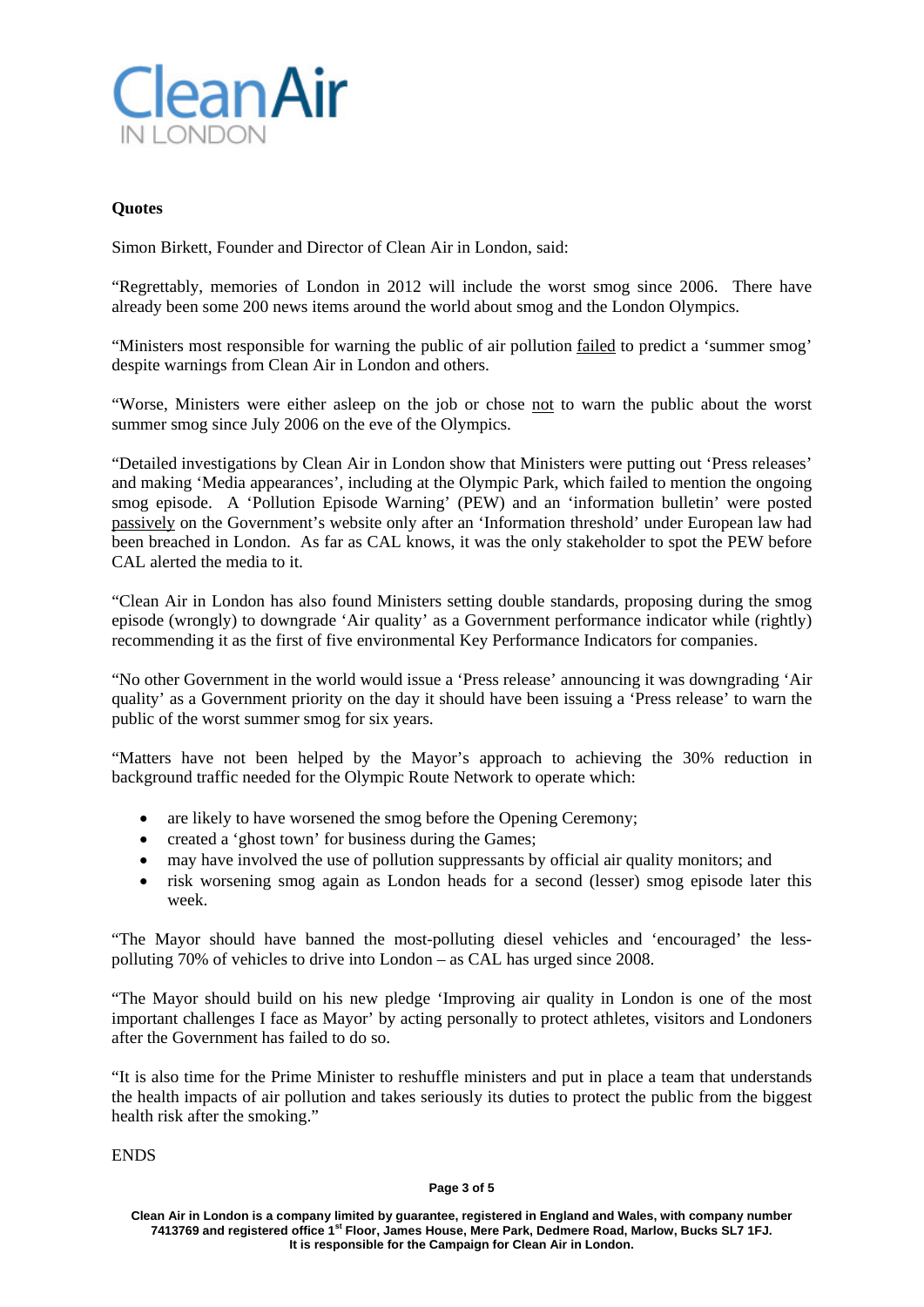

# **Quotes**

Simon Birkett, Founder and Director of Clean Air in London, said:

"Regrettably, memories of London in 2012 will include the worst smog since 2006. There have already been some 200 news items around the world about smog and the London Olympics.

"Ministers most responsible for warning the public of air pollution failed to predict a 'summer smog' despite warnings from Clean Air in London and others.

"Worse, Ministers were either asleep on the job or chose not to warn the public about the worst summer smog since July 2006 on the eve of the Olympics.

"Detailed investigations by Clean Air in London show that Ministers were putting out 'Press releases' and making 'Media appearances', including at the Olympic Park, which failed to mention the ongoing smog episode. A 'Pollution Episode Warning' (PEW) and an 'information bulletin' were posted passively on the Government's website only after an 'Information threshold' under European law had been breached in London. As far as CAL knows, it was the only stakeholder to spot the PEW before CAL alerted the media to it.

"Clean Air in London has also found Ministers setting double standards, proposing during the smog episode (wrongly) to downgrade 'Air quality' as a Government performance indicator while (rightly) recommending it as the first of five environmental Key Performance Indicators for companies.

"No other Government in the world would issue a 'Press release' announcing it was downgrading 'Air quality' as a Government priority on the day it should have been issuing a 'Press release' to warn the public of the worst summer smog for six years.

"Matters have not been helped by the Mayor's approach to achieving the 30% reduction in background traffic needed for the Olympic Route Network to operate which:

- are likely to have worsened the smog before the Opening Ceremony;
- created a 'ghost town' for business during the Games;
- may have involved the use of pollution suppressants by official air quality monitors; and
- risk worsening smog again as London heads for a second (lesser) smog episode later this week.

"The Mayor should have banned the most-polluting diesel vehicles and 'encouraged' the lesspolluting 70% of vehicles to drive into London – as CAL has urged since 2008.

"The Mayor should build on his new pledge 'Improving air quality in London is one of the most important challenges I face as Mayor' by acting personally to protect athletes, visitors and Londoners after the Government has failed to do so.

"It is also time for the Prime Minister to reshuffle ministers and put in place a team that understands the health impacts of air pollution and takes seriously its duties to protect the public from the biggest health risk after the smoking."

ENDS

#### **Page 3 of 5**

**Clean Air in London is a company limited by guarantee, registered in England and Wales, with company number 7413769 and registered office 1st Floor, James House, Mere Park, Dedmere Road, Marlow, Bucks SL7 1FJ. It is responsible for the Campaign for Clean Air in London.**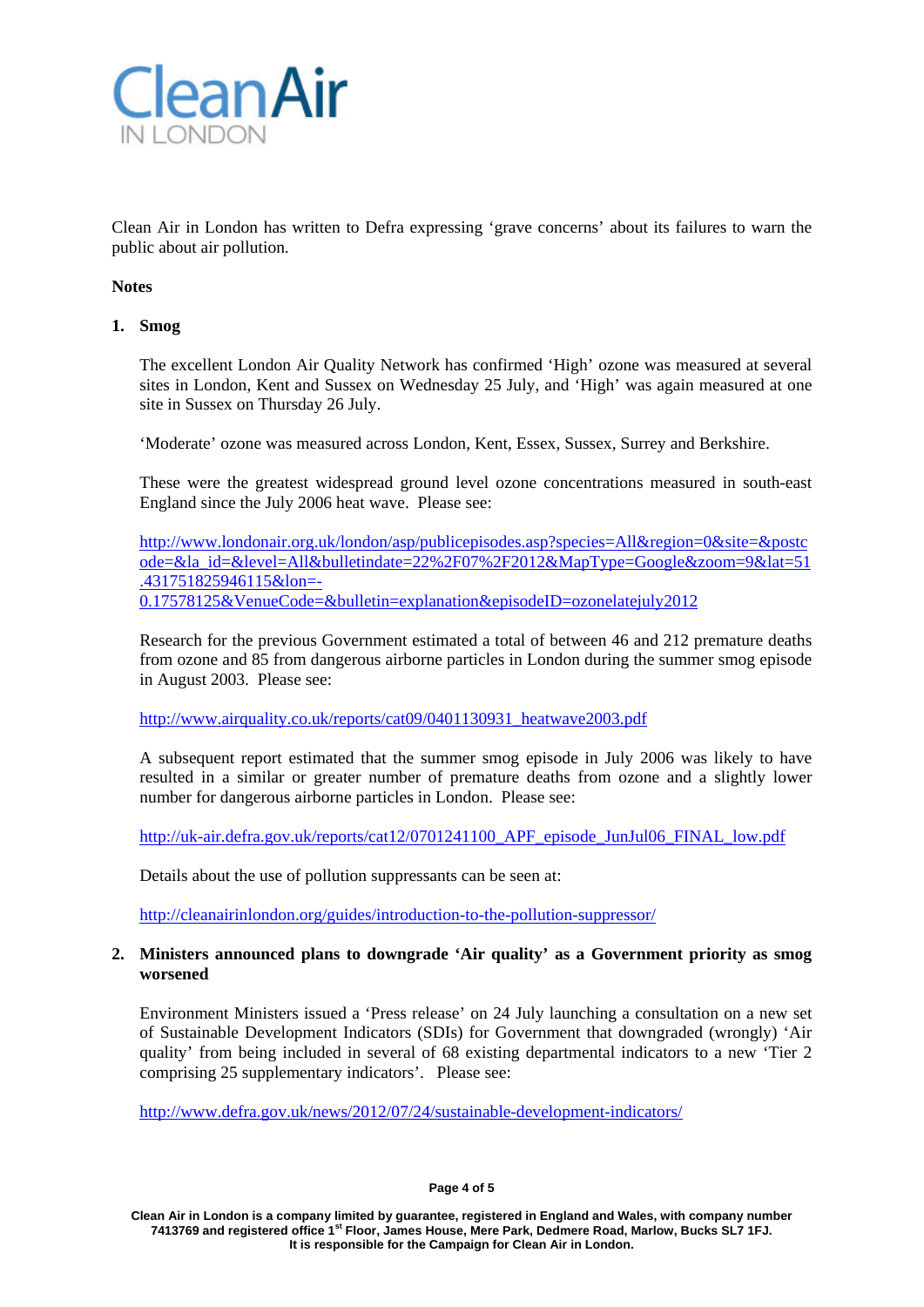

Clean Air in London has written to Defra expressing 'grave concerns' about its failures to warn the public about air pollution.

## **Notes**

## **1. Smog**

The excellent London Air Quality Network has confirmed 'High' ozone was measured at several sites in London, Kent and Sussex on Wednesday 25 July, and 'High' was again measured at one site in Sussex on Thursday 26 July.

'Moderate' ozone was measured across London, Kent, Essex, Sussex, Surrey and Berkshire.

These were the greatest widespread ground level ozone concentrations measured in south-east England since the July 2006 heat wave. Please see:

[http://www.londonair.org.uk/london/asp/publicepisodes.asp?species=All&region=0&site=&postc](http://www.londonair.org.uk/london/asp/publicepisodes.asp?species=All®ion=0&site=&postcode=&la_id=&level=All&bulletindate=22%2F07%2F2012&MapType=Google&zoom=9&lat=51.431751825946115&lon=-0.17578125&VenueCode=&bulletin=explanation&episodeID=ozonelatejuly2012) [ode=&la\\_id=&level=All&bulletindate=22%2F07%2F2012&MapType=Google&zoom=9&lat=51](http://www.londonair.org.uk/london/asp/publicepisodes.asp?species=All®ion=0&site=&postcode=&la_id=&level=All&bulletindate=22%2F07%2F2012&MapType=Google&zoom=9&lat=51.431751825946115&lon=-0.17578125&VenueCode=&bulletin=explanation&episodeID=ozonelatejuly2012) [.431751825946115&lon=-](http://www.londonair.org.uk/london/asp/publicepisodes.asp?species=All®ion=0&site=&postcode=&la_id=&level=All&bulletindate=22%2F07%2F2012&MapType=Google&zoom=9&lat=51.431751825946115&lon=-0.17578125&VenueCode=&bulletin=explanation&episodeID=ozonelatejuly2012) [0.17578125&VenueCode=&bulletin=explanation&episodeID=ozonelatejuly2012](http://www.londonair.org.uk/london/asp/publicepisodes.asp?species=All®ion=0&site=&postcode=&la_id=&level=All&bulletindate=22%2F07%2F2012&MapType=Google&zoom=9&lat=51.431751825946115&lon=-0.17578125&VenueCode=&bulletin=explanation&episodeID=ozonelatejuly2012)

Research for the previous Government estimated a total of between 46 and 212 premature deaths from ozone and 85 from dangerous airborne particles in London during the summer smog episode in August 2003. Please see:

[http://www.airquality.co.uk/reports/cat09/0401130931\\_heatwave2003.pdf](http://www.airquality.co.uk/reports/cat09/0401130931_heatwave2003.pdf)

A subsequent report estimated that the summer smog episode in July 2006 was likely to have resulted in a similar or greater number of premature deaths from ozone and a slightly lower number for dangerous airborne particles in London. Please see:

[http://uk-air.defra.gov.uk/reports/cat12/0701241100\\_APF\\_episode\\_JunJul06\\_FINAL\\_low.pdf](http://uk-air.defra.gov.uk/reports/cat12/0701241100_APF_episode_JunJul06_FINAL_low.pdf)

Details about the use of pollution suppressants can be seen at:

<http://cleanairinlondon.org/guides/introduction-to-the-pollution-suppressor/>

# **2. Ministers announced plans to downgrade 'Air quality' as a Government priority as smog worsened**

Environment Ministers issued a 'Press release' on 24 July launching a consultation on a new set of Sustainable Development Indicators (SDIs) for Government that downgraded (wrongly) 'Air quality' from being included in several of 68 existing departmental indicators to a new 'Tier 2 comprising 25 supplementary indicators'. Please see:

<http://www.defra.gov.uk/news/2012/07/24/sustainable-development-indicators/>

#### **Page 4 of 5**

**Clean Air in London is a company limited by guarantee, registered in England and Wales, with company number 7413769 and registered office 1st Floor, James House, Mere Park, Dedmere Road, Marlow, Bucks SL7 1FJ. It is responsible for the Campaign for Clean Air in London.**